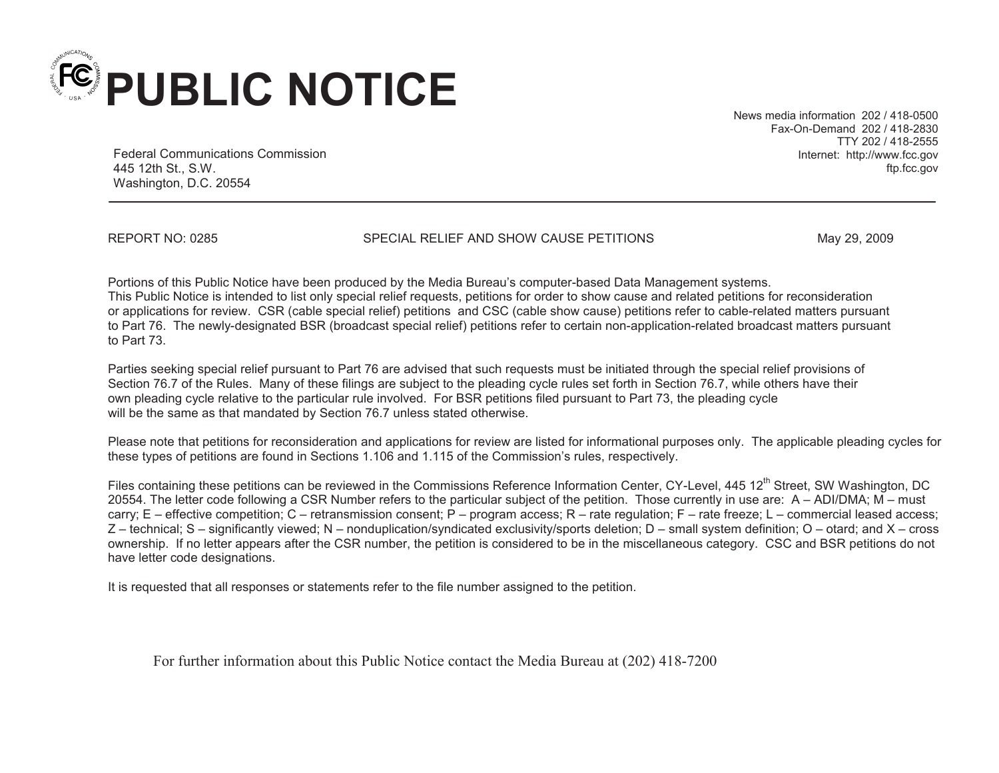

News media information 202 / 418-0500 Fax-On-Demand 202 / 418-2830 TTY 202 / 418-2555 Internet: http://www.fcc.gov ftp.fcc.gov

Federal Communications Commission 445 12th St., S.W. Washington, D.C. 20554

REPORT NO: 0285 SPECIAL RELIEF AND SHOW CAUSE PETITIONS May 29, 2009

Portions of this Public Notice have been produced by the Media Bureau's computer-based Data Management systems. This Public Notice is intended to list only special relief requests, petitions for order to show cause and related petitions for reconsideration or applications for review. CSR (cable special relief) petitions and CSC (cable show cause) petitions refer to cable-related matters pursuant to Part 76. The newly-designated BSR (broadcast special relief) petitions refer to certain non-application-related broadcast matters pursuant to Part 73.

Parties seeking special relief pursuant to Part 76 are advised that such requests must be initiated through the special relief provisions of Section 76.7 of the Rules. Many of these filings are subject to the pleading cycle rules set forth in Section 76.7, while others have their own pleading cycle relative to the particular rule involved. For BSR petitions filed pursuant to Part 73, the pleading cycle will be the same as that mandated by Section 76.7 unless stated otherwise.

Please note that petitions for reconsideration and applications for review are listed for informational purposes only. The applicable pleading cycles for these types of petitions are found in Sections 1.106 and 1.115 of the Commission's rules, respectively.

Files containing these petitions can be reviewed in the Commissions Reference Information Center, CY-Level, 445 12<sup>th</sup> Street, SW Washington, DC 20554. The letter code following a CSR Number refers to the particular subject of the petition. Those currently in use are: A – ADI/DMA; M – must carry; E – effective competition; C – retransmission consent; P – program access; R – rate regulation; F – rate freeze; L – commercial leased access; Z – technical; S – significantly viewed; N – nonduplication/syndicated exclusivity/sports deletion; D – small system definition; O – otard; and X – cross ownership. If no letter appears after the CSR number, the petition is considered to be in the miscellaneous category. CSC and BSR petitions do not have letter code designations.

It is requested that all responses or statements refer to the file number assigned to the petition.

For further information about this Public Notice contact the Media Bureau at (202) 418-7200